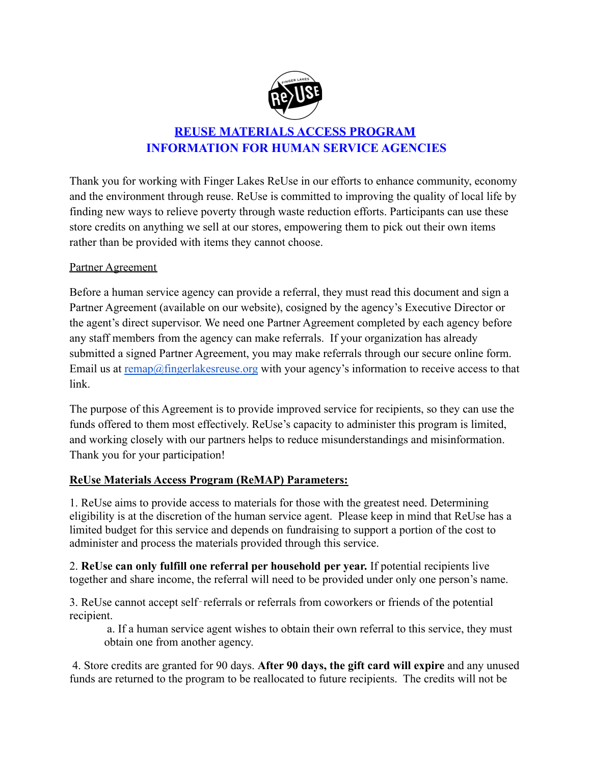

## **REUSE MATERIALS ACCESS PROGRAM INFORMATION FOR HUMAN SERVICE AGENCIES**

Thank you for working with Finger Lakes ReUse in our efforts to enhance community, economy and the environment through reuse. ReUse is committed to improving the quality of local life by finding new ways to relieve poverty through waste reduction efforts. Participants can use these store credits on anything we sell at our stores, empowering them to pick out their own items rather than be provided with items they cannot choose.

## Partner Agreement

Before a human service agency can provide a referral, they must read this document and sign a Partner Agreement (available on our website), cosigned by the agency's Executive Director or the agent's direct supervisor. We need one Partner Agreement completed by each agency before any staff members from the agency can make referrals. If your organization has already submitted a signed Partner Agreement, you may make referrals through our secure online form. Email us at [remap@fingerlakesreuse.org](mailto:remap@fingerlakesreuse.org) with your agency's information to receive access to that link.

The purpose of this Agreement is to provide improved service for recipients, so they can use the funds offered to them most effectively. ReUse's capacity to administer this program is limited, and working closely with our partners helps to reduce misunderstandings and misinformation. Thank you for your participation!

## **ReUse Materials Access Program (ReMAP) Parameters:**

1. ReUse aims to provide access to materials for those with the greatest need. Determining eligibility is at the discretion of the human service agent. Please keep in mind that ReUse has a limited budget for this service and depends on fundraising to support a portion of the cost to administer and process the materials provided through this service.

2. **ReUse can only fulfill one referral per household per year.** If potential recipients live together and share income, the referral will need to be provided under only one person's name.

3. ReUse cannot accept self‐referrals or referrals from coworkers or friends of the potential recipient.

a. If a human service agent wishes to obtain their own referral to this service, they must obtain one from another agency.

4. Store credits are granted for 90 days. **After 90 days, the gift card will expire** and any unused funds are returned to the program to be reallocated to future recipients. The credits will not be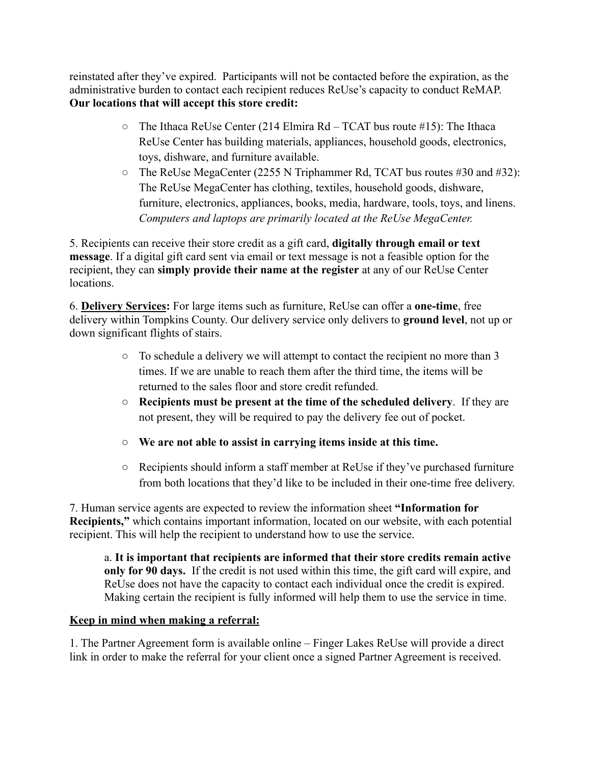reinstated after they've expired. Participants will not be contacted before the expiration, as the administrative burden to contact each recipient reduces ReUse's capacity to conduct ReMAP. **Our locations that will accept this store credit:**

- $\circ$  The Ithaca ReUse Center (214 Elmira Rd TCAT bus route #15): The Ithaca ReUse Center has building materials, appliances, household goods, electronics, toys, dishware, and furniture available.
- The ReUse MegaCenter (2255 N Triphammer Rd, TCAT bus routes #30 and #32): The ReUse MegaCenter has clothing, textiles, household goods, dishware, furniture, electronics, appliances, books, media, hardware, tools, toys, and linens. *Computers and laptops are primarily located at the ReUse MegaCenter.*

5. Recipients can receive their store credit as a gift card, **digitally through email or text message**. If a digital gift card sent via email or text message is not a feasible option for the recipient, they can **simply provide their name at the register** at any of our ReUse Center locations.

6. **Delivery Services:** For large items such as furniture, ReUse can offer a **one-time**, free delivery within Tompkins County. Our delivery service only delivers to **ground level**, not up or down significant flights of stairs.

- To schedule a delivery we will attempt to contact the recipient no more than 3 times. If we are unable to reach them after the third time, the items will be returned to the sales floor and store credit refunded.
- **Recipients must be present at the time of the scheduled delivery**. If they are not present, they will be required to pay the delivery fee out of pocket.
- **We are not able to assist in carrying items inside at this time.**
- Recipients should inform a staff member at ReUse if they've purchased furniture from both locations that they'd like to be included in their one-time free delivery.

7. Human service agents are expected to review the information sheet **"Information for Recipients,"** which contains important information, located on our website, with each potential recipient. This will help the recipient to understand how to use the service.

a. **It is important that recipients are informed that their store credits remain active only for 90 days.** If the credit is not used within this time, the gift card will expire, and ReUse does not have the capacity to contact each individual once the credit is expired. Making certain the recipient is fully informed will help them to use the service in time.

## **Keep in mind when making a referral:**

1. The Partner Agreement form is available online – Finger Lakes ReUse will provide a direct link in order to make the referral for your client once a signed Partner Agreement is received.